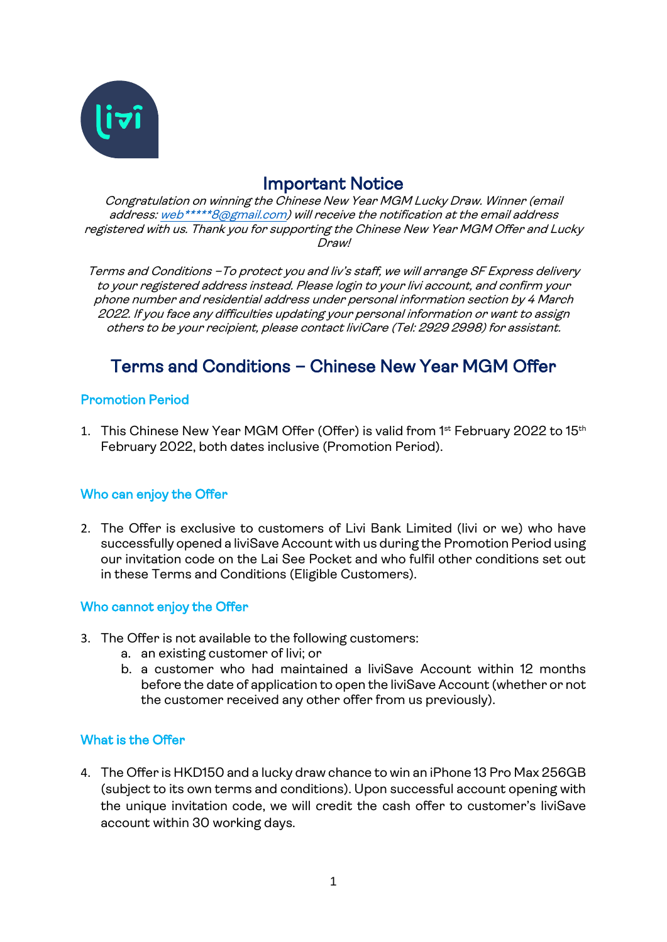

# Important Notice

Congratulation on winning the Chinese New Year MGM Lucky Draw. Winner (email address[: web\\*\\*\\*\\*\\*8@gmail.com\)](mailto:web*****8@gmail.com) will receive the notification at the email address registered with us. Thank you for supporting the Chinese New Year MGM Offer and Lucky Draw!

Terms and Conditions –To protect you and liv's staff, we will arrange SF Express delivery to your registered address instead. Please login to your livi account, and confirm your phone number and residential address under personal information section by 4 March 2022. If you face any difficulties updating your personal information or want to assign others to be your recipient, please contact liviCare (Tel: 2929 2998) for assistant.

# Terms and Conditions – Chinese New Year MGM Offer

## Promotion Period

1. This Chinese New Year MGM Offer (Offer) is valid from 1 $^{\rm st}$  February 2022 to 15 $^{\rm th}$ February 2022, both dates inclusive (Promotion Period).

## Who can enjoy the Offer

2. The Offer is exclusive to customers of Livi Bank Limited (livi or we) who have successfully opened a liviSave Account with us during the Promotion Period using our invitation code on the Lai See Pocket and who fulfil other conditions set out in these Terms and Conditions (Eligible Customers).

## Who cannot enjoy the Offer

- 3. The Offer is not available to the following customers:
	- a. an existing customer of livi; or
	- b. a customer who had maintained a liviSave Account within 12 months before the date of application to open the liviSave Account (whether or not the customer received any other offer from us previously).

## What is the Offer

4. The Offer is HKD150 and a lucky draw chance to win an iPhone 13 Pro Max 256GB (subject to its own terms and conditions). Upon successful account opening with the unique invitation code, we will credit the cash offer to customer's liviSave account within 30 working days.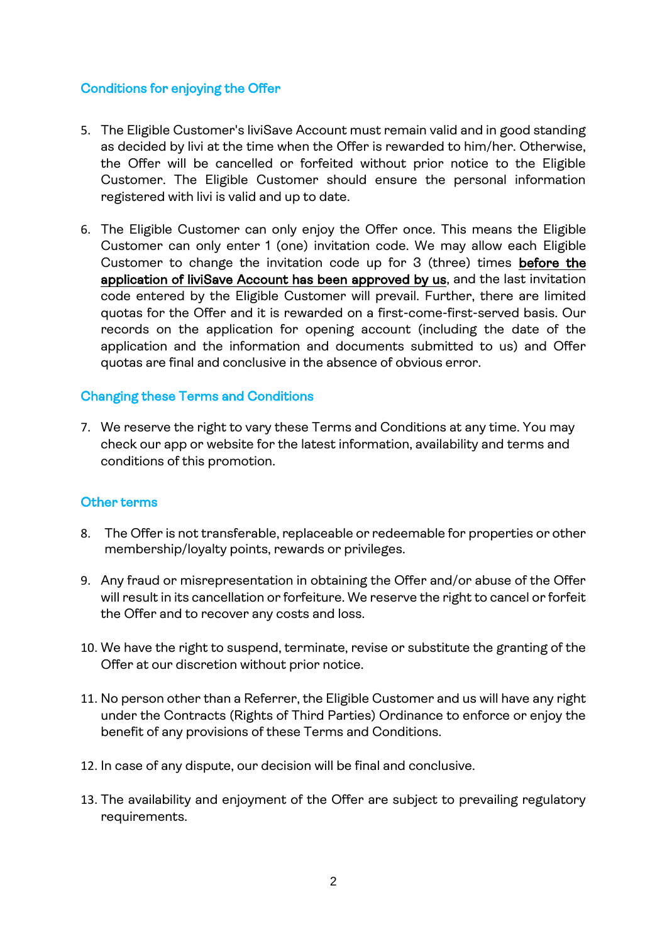## Conditions for enjoying the Offer

- 5. The Eligible Customer's liviSave Account must remain valid and in good standing as decided by livi at the time when the Offer is rewarded to him/her. Otherwise, the Offer will be cancelled or forfeited without prior notice to the Eligible Customer. The Eligible Customer should ensure the personal information registered with livi is valid and up to date.
- 6. The Eligible Customer can only enjoy the Offer once. This means the Eligible Customer can only enter 1 (one) invitation code. We may allow each Eligible Customer to change the invitation code up for 3 (three) times before the application of liviSave Account has been approved by us, and the last invitation code entered by the Eligible Customer will prevail. Further, there are limited quotas for the Offer and it is rewarded on a first-come-first-served basis. Our records on the application for opening account (including the date of the application and the information and documents submitted to us) and Offer quotas are final and conclusive in the absence of obvious error.

## Changing these Terms and Conditions

7. We reserve the right to vary these Terms and Conditions at any time. You may check our app or website for the latest information, availability and terms and conditions of this promotion.

## Other terms

- 8. The Offer is not transferable, replaceable or redeemable for properties or other membership/loyalty points, rewards or privileges.
- 9. Any fraud or misrepresentation in obtaining the Offer and/or abuse of the Offer will result in its cancellation or forfeiture. We reserve the right to cancel or forfeit the Offer and to recover any costs and loss.
- 10. We have the right to suspend, terminate, revise or substitute the granting of the Offer at our discretion without prior notice.
- 11. No person other than a Referrer, the Eligible Customer and us will have any right under the Contracts (Rights of Third Parties) Ordinance to enforce or enjoy the benefit of any provisions of these Terms and Conditions.
- 12. In case of any dispute, our decision will be final and conclusive.
- 13. The availability and enjoyment of the Offer are subject to prevailing regulatory requirements.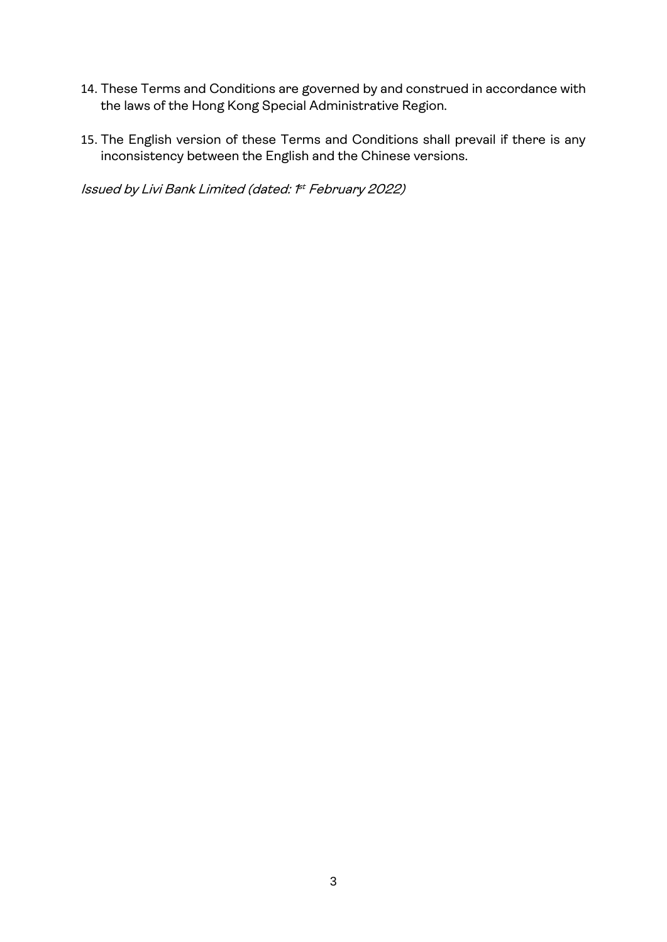- 14. These Terms and Conditions are governed by and construed in accordance with the laws of the Hong Kong Special Administrative Region.
- 15. The English version of these Terms and Conditions shall prevail if there is any inconsistency between the English and the Chinese versions.

lssued by Livi Bank Limited (dated: 1<sup>st</sup> February 2022)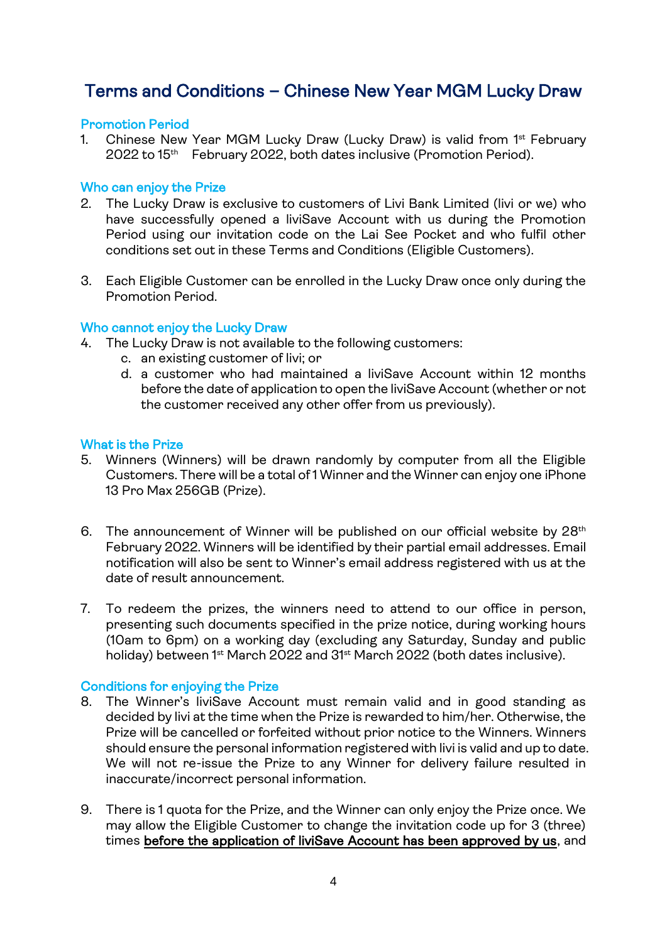# Terms and Conditions – Chinese New Year MGM Lucky Draw

### Promotion Period

1. Chinese New Year MGM Lucky Draw (Lucky Draw) is valid from 1 st February  $2022$  to 15 $^{\rm th}$   $\,$  February 2022, both dates inclusive (Promotion Period).

### Who can enjoy the Prize

- 2. The Lucky Draw is exclusive to customers of Livi Bank Limited (livi or we) who have successfully opened a liviSave Account with us during the Promotion Period using our invitation code on the Lai See Pocket and who fulfil other conditions set out in these Terms and Conditions (Eligible Customers).
- 3. Each Eligible Customer can be enrolled in the Lucky Draw once only during the Promotion Period.

### Who cannot enjoy the Lucky Draw

- 4. The Lucky Draw is not available to the following customers:
	- c. an existing customer of livi; or
	- d. a customer who had maintained a liviSave Account within 12 months before the date of application to open the liviSave Account (whether or not the customer received any other offer from us previously).

#### What is the Prize

- 5. Winners (Winners) will be drawn randomly by computer from all the Eligible Customers. There will be a total of 1 Winner and the Winner can enjoy one iPhone 13 Pro Max 256GB (Prize).
- 6. The announcement of Winner will be published on our official website by  $28<sup>th</sup>$ February 2022. Winners will be identified by their partial email addresses. Email notification will also be sent to Winner's email address registered with us at the date of result announcement.
- 7. To redeem the prizes, the winners need to attend to our office in person, presenting such documents specified in the prize notice, during working hours (10am to 6pm) on a working day (excluding any Saturday, Sunday and public holiday) between 1<sup>st</sup> March 2022 and 31<sup>st</sup> March 2022 (both dates inclusive).

#### Conditions for enjoying the Prize

- 8. The Winner's liviSave Account must remain valid and in good standing as decided by livi at the time when the Prize is rewarded to him/her. Otherwise, the Prize will be cancelled or forfeited without prior notice to the Winners. Winners should ensure the personal information registered with livi is valid and up to date. We will not re-issue the Prize to any Winner for delivery failure resulted in inaccurate/incorrect personal information.
- 9. There is 1 quota for the Prize, and the Winner can only enjoy the Prize once. We may allow the Eligible Customer to change the invitation code up for 3 (three) times before the application of liviSave Account has been approved by us, and